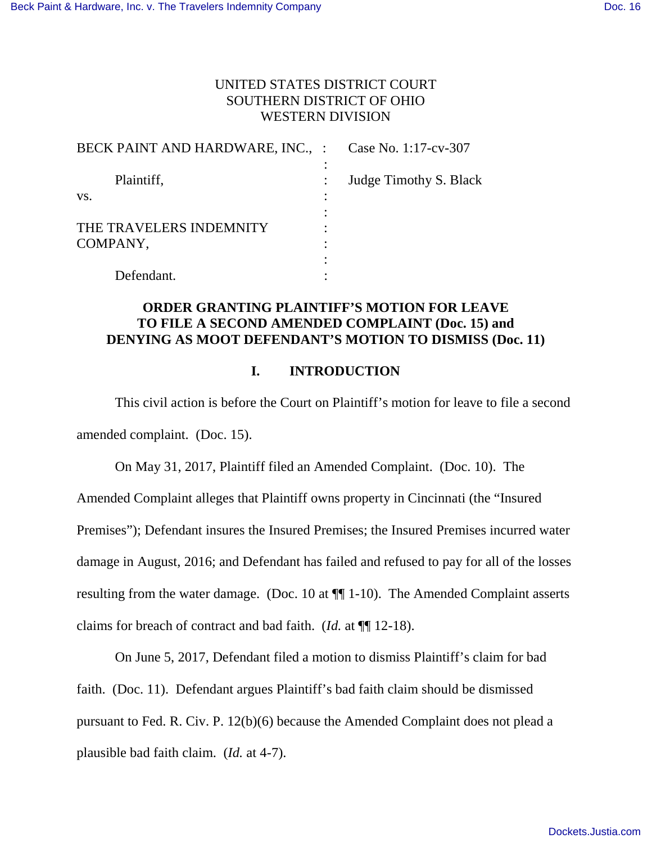# UNITED STATES DISTRICT COURT SOUTHERN DISTRICT OF OHIO WESTERN DIVISION

| BECK PAINT AND HARDWARE, INC., : Case No. 1:17-cv-307 |                        |
|-------------------------------------------------------|------------------------|
| Plaintiff,                                            | Judge Timothy S. Black |
| VS.                                                   |                        |
|                                                       |                        |
| THE TRAVELERS INDEMNITY                               |                        |
| COMPANY,                                              |                        |
|                                                       |                        |
| Defendant.                                            |                        |

### **ORDER GRANTING PLAINTIFF'S MOTION FOR LEAVE TO FILE A SECOND AMENDED COMPLAINT (Doc. 15) and DENYING AS MOOT DEFENDANT'S MOTION TO DISMISS (Doc. 11)**

### **I. INTRODUCTION**

This civil action is before the Court on Plaintiff's motion for leave to file a second amended complaint. (Doc. 15).

On May 31, 2017, Plaintiff filed an Amended Complaint. (Doc. 10). The Amended Complaint alleges that Plaintiff owns property in Cincinnati (the "Insured Premises"); Defendant insures the Insured Premises; the Insured Premises incurred water damage in August, 2016; and Defendant has failed and refused to pay for all of the losses resulting from the water damage. (Doc. 10 at ¶¶ 1-10). The Amended Complaint asserts claims for breach of contract and bad faith. (*Id.* at ¶¶ 12-18).

 On June 5, 2017, Defendant filed a motion to dismiss Plaintiff's claim for bad faith. (Doc. 11). Defendant argues Plaintiff's bad faith claim should be dismissed pursuant to Fed. R. Civ. P. 12(b)(6) because the Amended Complaint does not plead a plausible bad faith claim. (*Id.* at 4-7).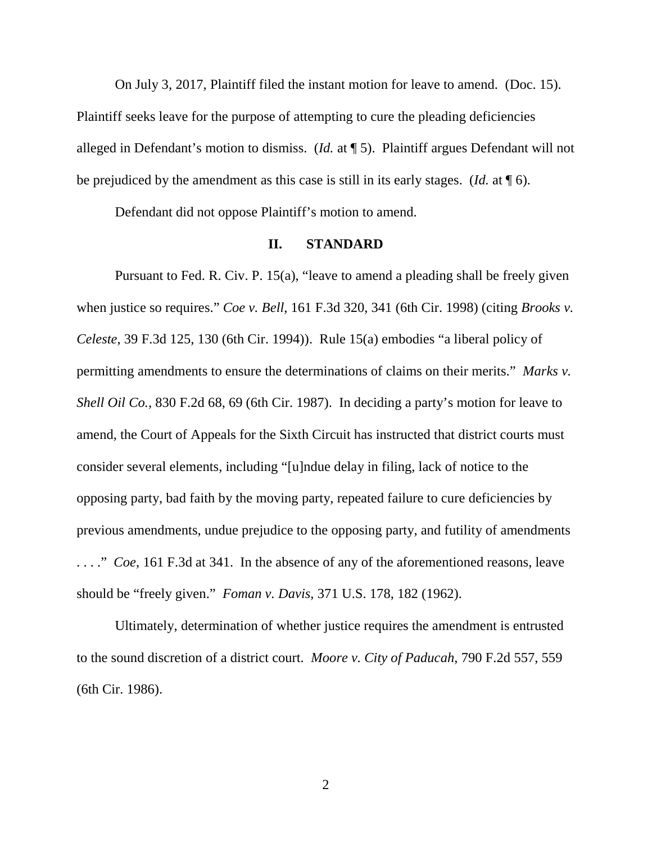On July 3, 2017, Plaintiff filed the instant motion for leave to amend. (Doc. 15). Plaintiff seeks leave for the purpose of attempting to cure the pleading deficiencies alleged in Defendant's motion to dismiss. (*Id.* at ¶ 5). Plaintiff argues Defendant will not be prejudiced by the amendment as this case is still in its early stages. (*Id.* at ¶ 6).

Defendant did not oppose Plaintiff's motion to amend.

### **II. STANDARD**

Pursuant to Fed. R. Civ. P. 15(a), "leave to amend a pleading shall be freely given when justice so requires." *Coe v. Bell*, 161 F.3d 320, 341 (6th Cir. 1998) (citing *Brooks v. Celeste*, 39 F.3d 125, 130 (6th Cir. 1994)). Rule 15(a) embodies "a liberal policy of permitting amendments to ensure the determinations of claims on their merits." *Marks v. Shell Oil Co.,* 830 F.2d 68, 69 (6th Cir. 1987). In deciding a party's motion for leave to amend, the Court of Appeals for the Sixth Circuit has instructed that district courts must consider several elements, including "[u]ndue delay in filing, lack of notice to the opposing party, bad faith by the moving party, repeated failure to cure deficiencies by previous amendments, undue prejudice to the opposing party, and futility of amendments . . . ." *Coe*, 161 F.3d at 341. In the absence of any of the aforementioned reasons, leave should be "freely given." *Foman v. Davis*, 371 U.S. 178, 182 (1962).

Ultimately, determination of whether justice requires the amendment is entrusted to the sound discretion of a district court. *Moore v. City of Paducah*, 790 F.2d 557, 559 (6th Cir. 1986).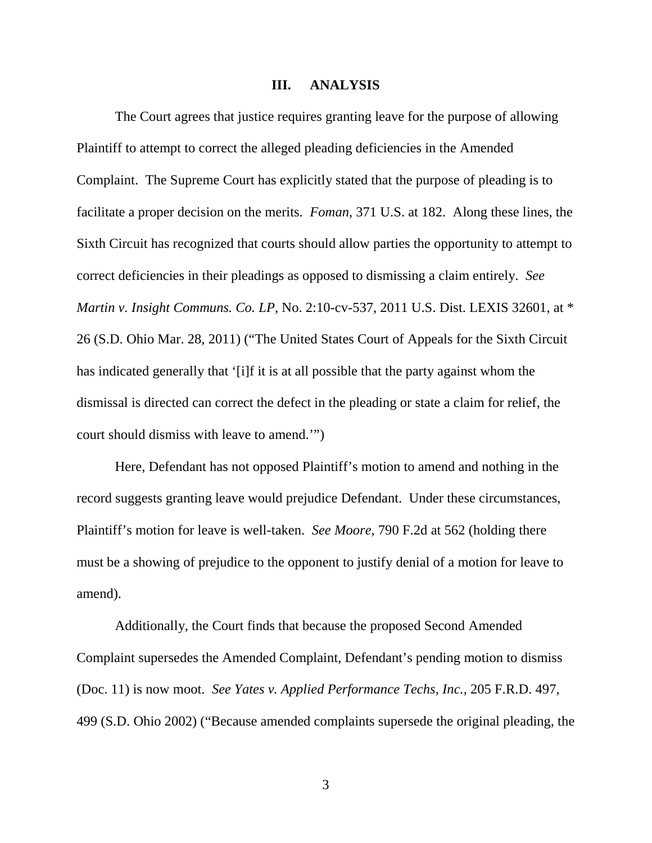#### **III. ANALYSIS**

The Court agrees that justice requires granting leave for the purpose of allowing Plaintiff to attempt to correct the alleged pleading deficiencies in the Amended Complaint. The Supreme Court has explicitly stated that the purpose of pleading is to facilitate a proper decision on the merits. *Foman*, 371 U.S. at 182. Along these lines, the Sixth Circuit has recognized that courts should allow parties the opportunity to attempt to correct deficiencies in their pleadings as opposed to dismissing a claim entirely. *See Martin v. Insight Communs. Co. LP*, No. 2:10-cv-537, 2011 U.S. Dist. LEXIS 32601, at \* 26 (S.D. Ohio Mar. 28, 2011) ("The United States Court of Appeals for the Sixth Circuit has indicated generally that '[i]f it is at all possible that the party against whom the dismissal is directed can correct the defect in the pleading or state a claim for relief, the court should dismiss with leave to amend.'")

Here, Defendant has not opposed Plaintiff's motion to amend and nothing in the record suggests granting leave would prejudice Defendant. Under these circumstances, Plaintiff's motion for leave is well-taken. *See Moore*, 790 F.2d at 562 (holding there must be a showing of prejudice to the opponent to justify denial of a motion for leave to amend).

Additionally, the Court finds that because the proposed Second Amended Complaint supersedes the Amended Complaint, Defendant's pending motion to dismiss (Doc. 11) is now moot. *See Yates v. Applied Performance Techs, Inc.*, 205 F.R.D. 497, 499 (S.D. Ohio 2002) ("Because amended complaints supersede the original pleading, the

3